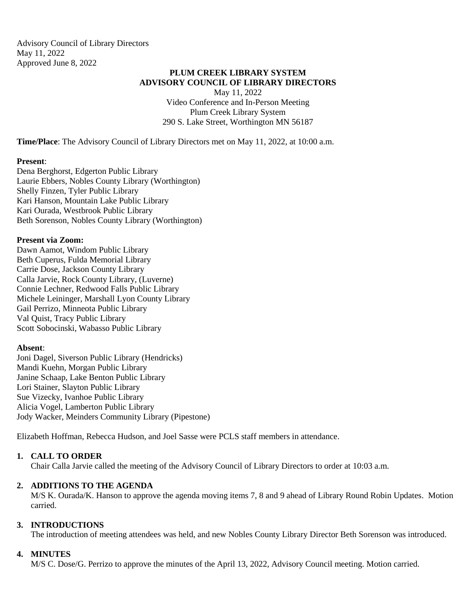Advisory Council of Library Directors May 11, 2022 Approved June 8, 2022

# **PLUM CREEK LIBRARY SYSTEM ADVISORY COUNCIL OF LIBRARY DIRECTORS**

May 11, 2022 Video Conference and In-Person Meeting Plum Creek Library System 290 S. Lake Street, Worthington MN 56187

**Time/Place**: The Advisory Council of Library Directors met on May 11, 2022, at 10:00 a.m.

### **Present**:

Dena Berghorst, Edgerton Public Library Laurie Ebbers, Nobles County Library (Worthington) Shelly Finzen, Tyler Public Library Kari Hanson, Mountain Lake Public Library Kari Ourada, Westbrook Public Library Beth Sorenson, Nobles County Library (Worthington)

## **Present via Zoom:**

Dawn Aamot, Windom Public Library Beth Cuperus, Fulda Memorial Library Carrie Dose, Jackson County Library Calla Jarvie, Rock County Library, (Luverne) Connie Lechner, Redwood Falls Public Library Michele Leininger, Marshall Lyon County Library Gail Perrizo, Minneota Public Library Val Quist, Tracy Public Library Scott Sobocinski, Wabasso Public Library

# **Absent**:

Joni Dagel, Siverson Public Library (Hendricks) Mandi Kuehn, Morgan Public Library Janine Schaap, Lake Benton Public Library Lori Stainer, Slayton Public Library Sue Vizecky, Ivanhoe Public Library Alicia Vogel, Lamberton Public Library Jody Wacker, Meinders Community Library (Pipestone)

Elizabeth Hoffman, Rebecca Hudson, and Joel Sasse were PCLS staff members in attendance.

# **1. CALL TO ORDER**

Chair Calla Jarvie called the meeting of the Advisory Council of Library Directors to order at 10:03 a.m.

### **2. ADDITIONS TO THE AGENDA**

M/S K. Ourada/K. Hanson to approve the agenda moving items 7, 8 and 9 ahead of Library Round Robin Updates. Motion carried.

### **3. INTRODUCTIONS**

The introduction of meeting attendees was held, and new Nobles County Library Director Beth Sorenson was introduced.

### **4. MINUTES**

M/S C. Dose/G. Perrizo to approve the minutes of the April 13, 2022, Advisory Council meeting. Motion carried.